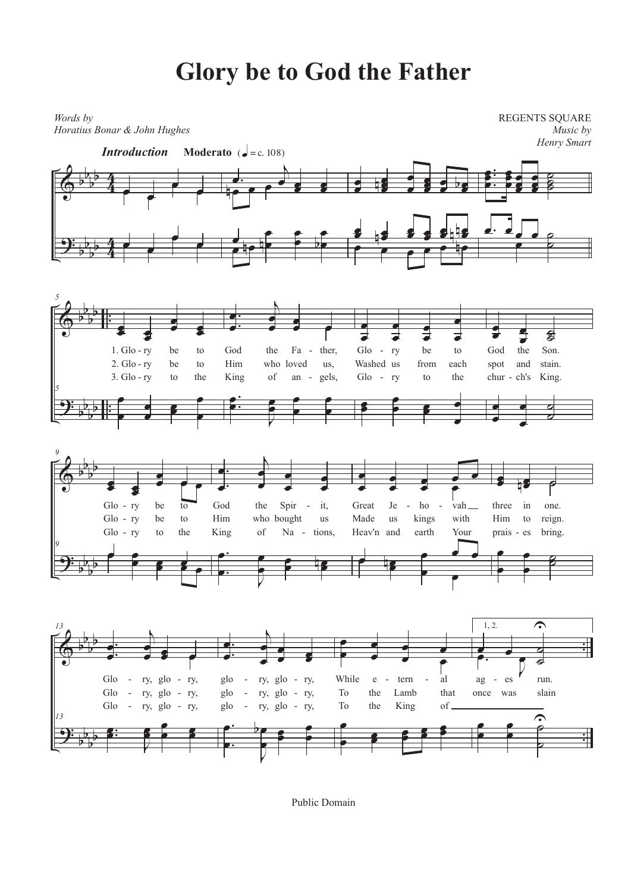## **Glory be to God the Father**



Public Domain